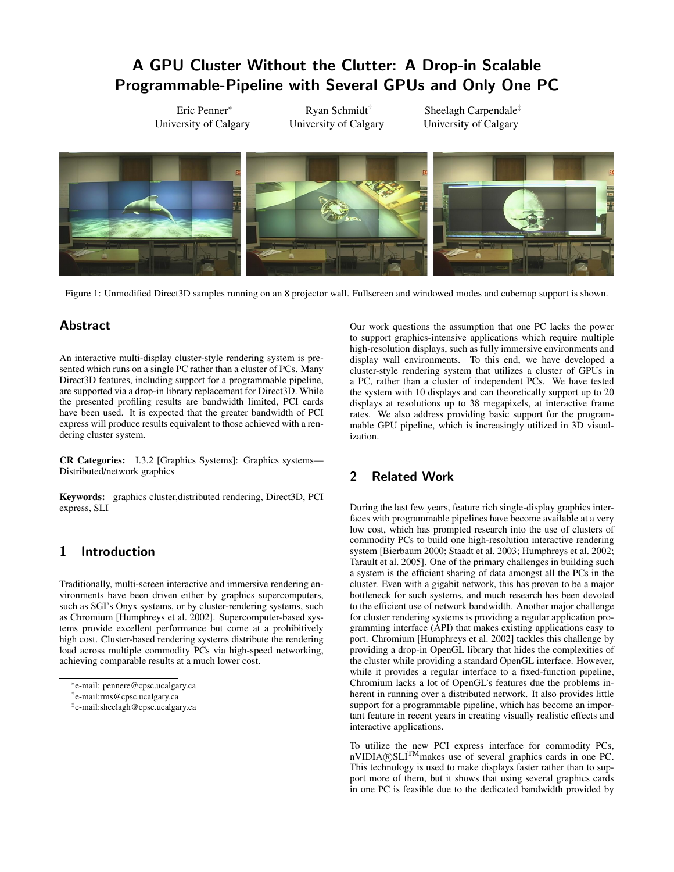# A GPU Cluster Without the Clutter: A Drop-in Scalable Programmable-Pipeline with Several GPUs and Only One PC

Eric Penner<sup>∗</sup> University of Calgary

Ryan Schmidt† University of Calgary

Sheelagh Carpendale‡ University of Calgary



Figure 1: Unmodified Direct3D samples running on an 8 projector wall. Fullscreen and windowed modes and cubemap support is shown.

## **Abstract**

An interactive multi-display cluster-style rendering system is presented which runs on a single PC rather than a cluster of PCs. Many Direct3D features, including support for a programmable pipeline, are supported via a drop-in library replacement for Direct3D. While the presented profiling results are bandwidth limited, PCI cards have been used. It is expected that the greater bandwidth of PCI express will produce results equivalent to those achieved with a rendering cluster system.

CR Categories: I.3.2 [Graphics Systems]: Graphics systems— Distributed/network graphics

Keywords: graphics cluster,distributed rendering, Direct3D, PCI express, SLI

## 1 Introduction

Traditionally, multi-screen interactive and immersive rendering environments have been driven either by graphics supercomputers, such as SGI's Onyx systems, or by cluster-rendering systems, such as Chromium [Humphreys et al. 2002]. Supercomputer-based systems provide excellent performance but come at a prohibitively high cost. Cluster-based rendering systems distribute the rendering load across multiple commodity PCs via high-speed networking, achieving comparable results at a much lower cost.

Our work questions the assumption that one PC lacks the power to support graphics-intensive applications which require multiple high-resolution displays, such as fully immersive environments and display wall environments. To this end, we have developed a cluster-style rendering system that utilizes a cluster of GPUs in a PC, rather than a cluster of independent PCs. We have tested the system with 10 displays and can theoretically support up to 20 displays at resolutions up to 38 megapixels, at interactive frame rates. We also address providing basic support for the programmable GPU pipeline, which is increasingly utilized in 3D visualization.

## 2 Related Work

During the last few years, feature rich single-display graphics interfaces with programmable pipelines have become available at a very low cost, which has prompted research into the use of clusters of commodity PCs to build one high-resolution interactive rendering system [Bierbaum 2000; Staadt et al. 2003; Humphreys et al. 2002; Tarault et al. 2005]. One of the primary challenges in building such a system is the efficient sharing of data amongst all the PCs in the cluster. Even with a gigabit network, this has proven to be a major bottleneck for such systems, and much research has been devoted to the efficient use of network bandwidth. Another major challenge for cluster rendering systems is providing a regular application programming interface (API) that makes existing applications easy to port. Chromium [Humphreys et al. 2002] tackles this challenge by providing a drop-in OpenGL library that hides the complexities of the cluster while providing a standard OpenGL interface. However, while it provides a regular interface to a fixed-function pipeline, Chromium lacks a lot of OpenGL's features due the problems inherent in running over a distributed network. It also provides little support for a programmable pipeline, which has become an important feature in recent years in creating visually realistic effects and interactive applications.

To utilize the new PCI express interface for commodity PCs, nVIDIA®SLI<sup>TM</sup>makes use of several graphics cards in one PC. This technology is used to make displays faster rather than to support more of them, but it shows that using several graphics cards in one PC is feasible due to the dedicated bandwidth provided by

<sup>∗</sup> e-mail: pennere@cpsc.ucalgary.ca

<sup>†</sup> e-mail:rms@cpsc.ucalgary.ca

<sup>‡</sup> e-mail:sheelagh@cpsc.ucalgary.ca